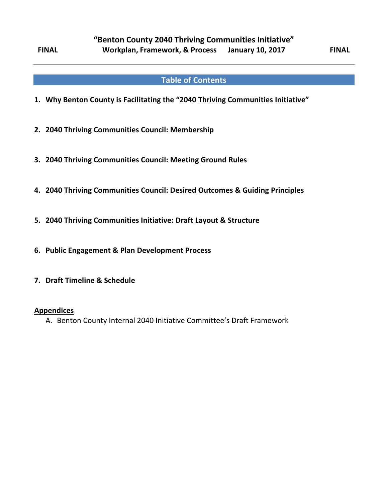### **Table of Contents**

- **1. Why Benton County is Facilitating the "2040 Thriving Communities Initiative"**
- **2. 2040 Thriving Communities Council: Membership**
- **3. 2040 Thriving Communities Council: Meeting Ground Rules**
- **4. 2040 Thriving Communities Council: Desired Outcomes & Guiding Principles**
- **5. 2040 Thriving Communities Initiative: Draft Layout & Structure**
- **6. Public Engagement & Plan Development Process**
- **7. Draft Timeline & Schedule**

#### **Appendices**

A. Benton County Internal 2040 Initiative Committee's Draft Framework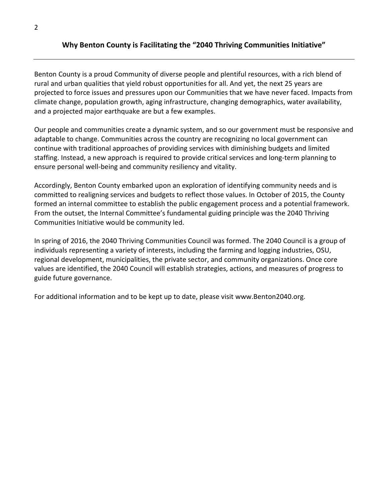## **Why Benton County is Facilitating the "2040 Thriving Communities Initiative"**

Benton County is a proud Community of diverse people and plentiful resources, with a rich blend of rural and urban qualities that yield robust opportunities for all. And yet, the next 25 years are projected to force issues and pressures upon our Communities that we have never faced. Impacts from climate change, population growth, aging infrastructure, changing demographics, water availability, and a projected major earthquake are but a few examples.

Our people and communities create a dynamic system, and so our government must be responsive and adaptable to change. Communities across the country are recognizing no local government can continue with traditional approaches of providing services with diminishing budgets and limited staffing. Instead, a new approach is required to provide critical services and long-term planning to ensure personal well-being and community resiliency and vitality.

Accordingly, Benton County embarked upon an exploration of identifying community needs and is committed to realigning services and budgets to reflect those values. In October of 2015, the County formed an internal committee to establish the public engagement process and a potential framework. From the outset, the Internal Committee's fundamental guiding principle was the 2040 Thriving Communities Initiative would be community led.

In spring of 2016, the 2040 Thriving Communities Council was formed. The 2040 Council is a group of individuals representing a variety of interests, including the farming and logging industries, OSU, regional development, municipalities, the private sector, and community organizations. Once core values are identified, the 2040 Council will establish strategies, actions, and measures of progress to guide future governance.

For additional information and to be kept up to date, please visit www.Benton2040.org.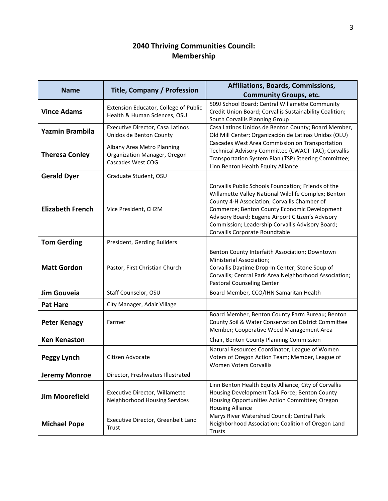# **2040 Thriving Communities Council: Membership**

| <b>Name</b>             | <b>Title, Company / Profession</b>                                              | Affiliations, Boards, Commissions,                                                                                                                                                                                                                                                                                                                    |
|-------------------------|---------------------------------------------------------------------------------|-------------------------------------------------------------------------------------------------------------------------------------------------------------------------------------------------------------------------------------------------------------------------------------------------------------------------------------------------------|
|                         |                                                                                 | <b>Community Groups, etc.</b>                                                                                                                                                                                                                                                                                                                         |
| <b>Vince Adams</b>      | Extension Educator, College of Public<br>Health & Human Sciences, OSU           | 509J School Board; Central Willamette Community<br>Credit Union Board; Corvallis Sustainability Coalition;<br>South Corvallis Planning Group                                                                                                                                                                                                          |
| <b>Yazmin Brambila</b>  | Executive Director, Casa Latinos<br>Unidos de Benton County                     | Casa Latinos Unidos de Benton County; Board Member,<br>Old Mill Center; Organización de Latinas Unidas (OLU)                                                                                                                                                                                                                                          |
| <b>Theresa Conley</b>   | Albany Area Metro Planning<br>Organization Manager, Oregon<br>Cascades West COG | Cascades West Area Commission on Transportation<br>Technical Advisory Committee (CWACT-TAC); Corvallis<br>Transportation System Plan (TSP) Steering Committee;<br>Linn Benton Health Equity Alliance                                                                                                                                                  |
| <b>Gerald Dyer</b>      | Graduate Student, OSU                                                           |                                                                                                                                                                                                                                                                                                                                                       |
| <b>Elizabeth French</b> | Vice President, CH2M                                                            | Corvallis Public Schools Foundation; Friends of the<br>Willamette Valley National Wildlife Complex; Benton<br>County 4-H Association; Corvallis Chamber of<br>Commerce; Benton County Economic Development<br>Advisory Board; Eugene Airport Citizen's Advisory<br>Commission; Leadership Corvallis Advisory Board;<br>Corvallis Corporate Roundtable |
| <b>Tom Gerding</b>      | President, Gerding Builders                                                     |                                                                                                                                                                                                                                                                                                                                                       |
| <b>Matt Gordon</b>      | Pastor, First Christian Church                                                  | Benton County Interfaith Association; Downtown<br>Ministerial Association;<br>Corvallis Daytime Drop-In Center; Stone Soup of<br>Corvallis; Central Park Area Neighborhood Association;<br>Pastoral Counseling Center                                                                                                                                 |
| <b>Jim Gouveia</b>      | Staff Counselor, OSU                                                            | Board Member, CCO/IHN Samaritan Health                                                                                                                                                                                                                                                                                                                |
| <b>Pat Hare</b>         | City Manager, Adair Village                                                     |                                                                                                                                                                                                                                                                                                                                                       |
| <b>Peter Kenagy</b>     | Farmer                                                                          | Board Member, Benton County Farm Bureau; Benton<br>County Soil & Water Conservation District Committee<br>Member; Cooperative Weed Management Area                                                                                                                                                                                                    |
| <b>Ken Kenaston</b>     |                                                                                 | Chair, Benton County Planning Commission                                                                                                                                                                                                                                                                                                              |
| <b>Peggy Lynch</b>      | Citizen Advocate                                                                | Natural Resources Coordinator, League of Women<br>Voters of Oregon Action Team; Member, League of<br>Women Voters Corvallis                                                                                                                                                                                                                           |
| <b>Jeremy Monroe</b>    | Director, Freshwaters Illustrated                                               |                                                                                                                                                                                                                                                                                                                                                       |
| <b>Jim Moorefield</b>   | Executive Director, Willamette<br>Neighborhood Housing Services                 | Linn Benton Health Equity Alliance; City of Corvallis<br>Housing Development Task Force; Benton County<br>Housing Opportunities Action Committee; Oregon<br><b>Housing Alliance</b>                                                                                                                                                                   |
| <b>Michael Pope</b>     | Executive Director, Greenbelt Land<br>Trust                                     | Marys River Watershed Council; Central Park<br>Neighborhood Association; Coalition of Oregon Land<br>Trusts                                                                                                                                                                                                                                           |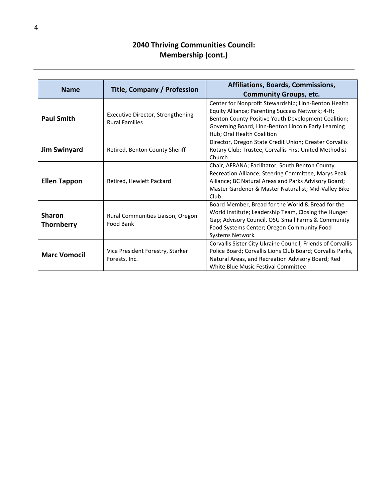# **2040 Thriving Communities Council: Membership (cont.)**

| <b>Name</b>                        | <b>Title, Company / Profession</b>                         | Affiliations, Boards, Commissions,<br><b>Community Groups, etc.</b>                                                                                                                                                                                  |
|------------------------------------|------------------------------------------------------------|------------------------------------------------------------------------------------------------------------------------------------------------------------------------------------------------------------------------------------------------------|
| <b>Paul Smith</b>                  | Executive Director, Strengthening<br><b>Rural Families</b> | Center for Nonprofit Stewardship; Linn-Benton Health<br>Equity Alliance; Parenting Success Network; 4-H;<br>Benton County Positive Youth Development Coalition;<br>Governing Board, Linn-Benton Lincoln Early Learning<br>Hub; Oral Health Coalition |
| <b>Jim Swinyard</b>                | Retired, Benton County Sheriff                             | Director, Oregon State Credit Union; Greater Corvallis<br>Rotary Club; Trustee, Corvallis First United Methodist<br>Church                                                                                                                           |
| <b>Ellen Tappon</b>                | Retired, Hewlett Packard                                   | Chair, AFRANA; Facilitator, South Benton County<br>Recreation Alliance; Steering Committee, Marys Peak<br>Alliance; BC Natural Areas and Parks Advisory Board;<br>Master Gardener & Master Naturalist; Mid-Valley Bike<br>Club                       |
| <b>Sharon</b><br><b>Thornberry</b> | Rural Communities Liaison, Oregon<br>Food Bank             | Board Member, Bread for the World & Bread for the<br>World Institute; Leadership Team, Closing the Hunger<br>Gap; Advisory Council, OSU Small Farms & Community<br>Food Systems Center; Oregon Community Food<br><b>Systems Network</b>              |
| <b>Marc Vomocil</b>                | Vice President Forestry, Starker<br>Forests, Inc.          | Corvallis Sister City Ukraine Council; Friends of Corvallis<br>Police Board; Corvallis Lions Club Board; Corvallis Parks,<br>Natural Areas, and Recreation Advisory Board; Red<br>White Blue Music Festival Committee                                |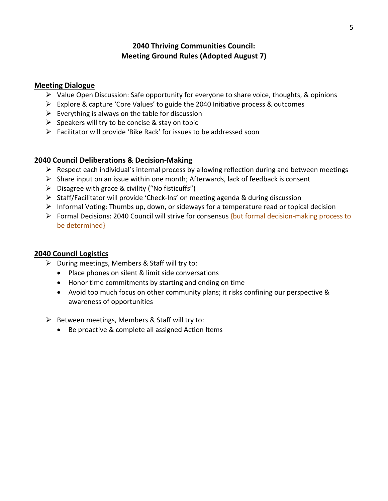# **2040 Thriving Communities Council: Meeting Ground Rules (Adopted August 7)**

### **Meeting Dialogue**

- $\triangleright$  Value Open Discussion: Safe opportunity for everyone to share voice, thoughts, & opinions
- Explore & capture 'Core Values' to guide the 2040 Initiative process & outcomes
- $\triangleright$  Everything is always on the table for discussion
- $\triangleright$  Speakers will try to be concise & stay on topic
- $\triangleright$  Facilitator will provide 'Bike Rack' for issues to be addressed soon

#### **2040 Council Deliberations & Decision-Making**

- $\triangleright$  Respect each individual's internal process by allowing reflection during and between meetings
- $\triangleright$  Share input on an issue within one month; Afterwards, lack of feedback is consent
- $\triangleright$  Disagree with grace & civility ("No fisticuffs")
- ▶ Staff/Facilitator will provide 'Check-Ins' on meeting agenda & during discussion
- $\triangleright$  Informal Voting: Thumbs up, down, or sideways for a temperature read or topical decision
- Formal Decisions: 2040 Council will strive for consensus {but formal decision-making process to be determined}

### **2040 Council Logistics**

- $\triangleright$  During meetings, Members & Staff will try to:
	- Place phones on silent & limit side conversations
	- Honor time commitments by starting and ending on time
	- Avoid too much focus on other community plans; it risks confining our perspective & awareness of opportunities
- $\triangleright$  Between meetings, Members & Staff will try to:
	- Be proactive & complete all assigned Action Items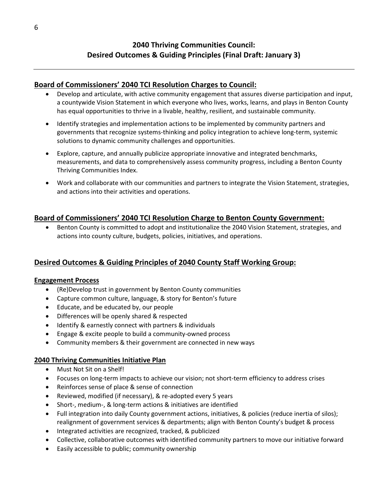# **2040 Thriving Communities Council: Desired Outcomes & Guiding Principles (Final Draft: January 3)**

### **Board of Commissioners' 2040 TCI Resolution Charges to Council:**

- Develop and articulate, with active community engagement that assures diverse participation and input, a countywide Vision Statement in which everyone who lives, works, learns, and plays in Benton County has equal opportunities to thrive in a livable, healthy, resilient, and sustainable community.
- Identify strategies and implementation actions to be implemented by community partners and governments that recognize systems-thinking and policy integration to achieve long-term, systemic solutions to dynamic community challenges and opportunities.
- Explore, capture, and annually publicize appropriate innovative and integrated benchmarks, measurements, and data to comprehensively assess community progress, including a Benton County Thriving Communities Index.
- Work and collaborate with our communities and partners to integrate the Vision Statement, strategies, and actions into their activities and operations.

### **Board of Commissioners' 2040 TCI Resolution Charge to Benton County Government:**

• Benton County is committed to adopt and institutionalize the 2040 Vision Statement, strategies, and actions into county culture, budgets, policies, initiatives, and operations.

### **Desired Outcomes & Guiding Principles of 2040 County Staff Working Group:**

#### **Engagement Process**

- (Re)Develop trust in government by Benton County communities
- Capture common culture, language, & story for Benton's future
- Educate, and be educated by, our people
- Differences will be openly shared & respected
- Identify & earnestly connect with partners & individuals
- Engage & excite people to build a community-owned process
- Community members & their government are connected in new ways

#### **2040 Thriving Communities Initiative Plan**

- Must Not Sit on a Shelf!
- Focuses on long-term impacts to achieve our vision; not short-term efficiency to address crises
- Reinforces sense of place & sense of connection
- Reviewed, modified (if necessary), & re-adopted every 5 years
- Short-, medium-, & long-term actions & initiatives are identified
- Full integration into daily County government actions, initiatives, & policies (reduce inertia of silos); realignment of government services & departments; align with Benton County's budget & process
- Integrated activities are recognized, tracked, & publicized
- Collective, collaborative outcomes with identified community partners to move our initiative forward
- Easily accessible to public; community ownership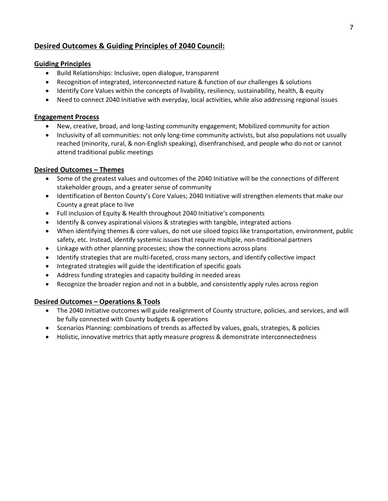# **Desired Outcomes & Guiding Principles of 2040 Council:**

#### **Guiding Principles**

- Build Relationships: Inclusive, open dialogue, transparent
- Recognition of integrated, interconnected nature & function of our challenges & solutions
- Identify Core Values within the concepts of livability, resiliency, sustainability, health, & equity
- Need to connect 2040 Initiative with everyday, local activities, while also addressing regional issues

#### **Engagement Process**

- New, creative, broad, and long-lasting community engagement; Mobilized community for action
- Inclusivity of all communities: not only long-time community activists, but also populations not usually reached (minority, rural, & non-English speaking), disenfranchised, and people who do not or cannot attend traditional public meetings

#### **Desired Outcomes – Themes**

- Some of the greatest values and outcomes of the 2040 Initiative will be the connections of different stakeholder groups, and a greater sense of community
- Identification of Benton County's Core Values; 2040 Initiative will strengthen elements that make our County a great place to live
- Full inclusion of Equity & Health throughout 2040 Initiative's components
- Identify & convey aspirational visions & strategies with tangible, integrated actions
- When identifying themes & core values, do not use siloed topics like transportation, environment, public safety, etc. Instead, identify systemic issues that require multiple, non-traditional partners
- Linkage with other planning processes; show the connections across plans
- Identify strategies that are multi-faceted, cross many sectors, and identify collective impact
- Integrated strategies will guide the identification of specific goals
- Address funding strategies and capacity building in needed areas
- Recognize the broader region and not in a bubble, and consistently apply rules across region

#### **Desired Outcomes – Operations & Tools**

- The 2040 Initiative outcomes will guide realignment of County structure, policies, and services, and will be fully connected with County budgets & operations
- Scenarios Planning: combinations of trends as affected by values, goals, strategies, & policies
- Holistic, innovative metrics that aptly measure progress & demonstrate interconnectedness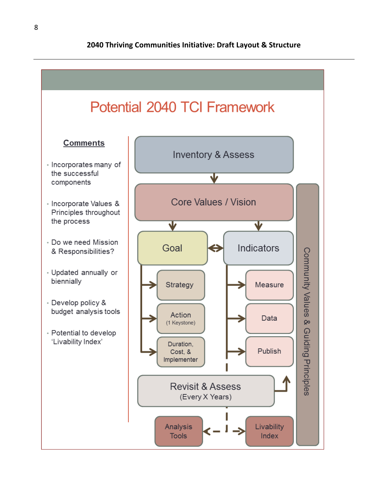### **2040 Thriving Communities Initiative: Draft Layout & Structure**

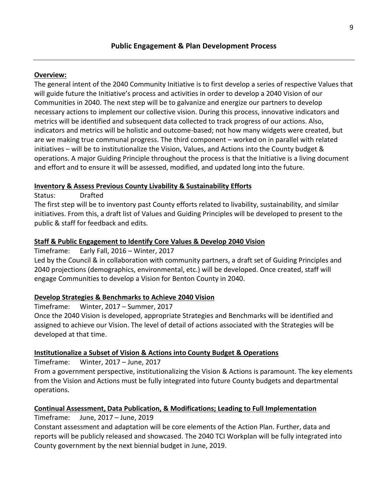### **Overview:**

The general intent of the 2040 Community Initiative is to first develop a series of respective Values that will guide future the Initiative's process and activities in order to develop a 2040 Vision of our Communities in 2040. The next step will be to galvanize and energize our partners to develop necessary actions to implement our collective vision. During this process, innovative indicators and metrics will be identified and subsequent data collected to track progress of our actions. Also, indicators and metrics will be holistic and outcome-based; not how many widgets were created, but are we making true communal progress. The third component – worked on in parallel with related initiatives – will be to institutionalize the Vision, Values, and Actions into the County budget & operations. A major Guiding Principle throughout the process is that the Initiative is a living document and effort and to ensure it will be assessed, modified, and updated long into the future.

### **Inventory & Assess Previous County Livability & Sustainability Efforts**

Status: Drafted

The first step will be to inventory past County efforts related to livability, sustainability, and similar initiatives. From this, a draft list of Values and Guiding Principles will be developed to present to the public & staff for feedback and edits.

#### **Staff & Public Engagement to Identify Core Values & Develop 2040 Vision**

Timeframe: Early Fall, 2016 – Winter, 2017

Led by the Council & in collaboration with community partners, a draft set of Guiding Principles and 2040 projections (demographics, environmental, etc.) will be developed. Once created, staff will engage Communities to develop a Vision for Benton County in 2040.

#### **Develop Strategies & Benchmarks to Achieve 2040 Vision**

Timeframe: Winter, 2017 – Summer, 2017

Once the 2040 Vision is developed, appropriate Strategies and Benchmarks will be identified and assigned to achieve our Vision. The level of detail of actions associated with the Strategies will be developed at that time.

### **Institutionalize a Subset of Vision & Actions into County Budget & Operations**

Timeframe: Winter, 2017 – June, 2017

From a government perspective, institutionalizing the Vision & Actions is paramount. The key elements from the Vision and Actions must be fully integrated into future County budgets and departmental operations.

### **Continual Assessment, Data Publication, & Modifications; Leading to Full Implementation**

Timeframe: June, 2017 – June, 2019

Constant assessment and adaptation will be core elements of the Action Plan. Further, data and reports will be publicly released and showcased. The 2040 TCI Workplan will be fully integrated into County government by the next biennial budget in June, 2019.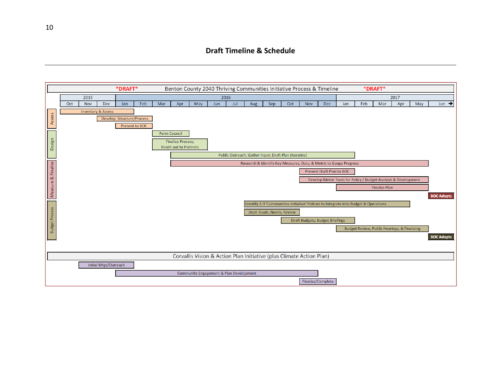#### **Draft Timeline & Schedule**

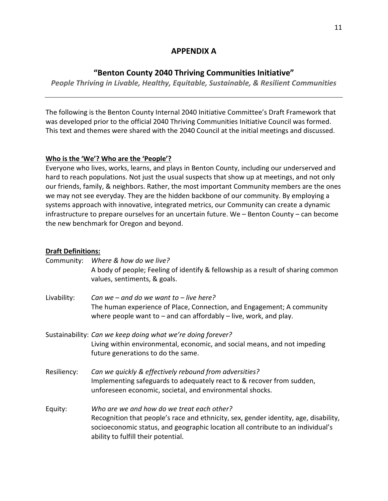# **APPENDIX A**

## **"Benton County 2040 Thriving Communities Initiative"**

*People Thriving in Livable, Healthy, Equitable, Sustainable, & Resilient Communities*

The following is the Benton County Internal 2040 Initiative Committee's Draft Framework that was developed prior to the official 2040 Thriving Communities Initiative Council was formed. This text and themes were shared with the 2040 Council at the initial meetings and discussed.

#### **Who is the 'We'? Who are the 'People'?**

Everyone who lives, works, learns, and plays in Benton County, including our underserved and hard to reach populations. Not just the usual suspects that show up at meetings, and not only our friends, family, & neighbors. Rather, the most important Community members are the ones we may not see everyday. They are the hidden backbone of our community. By employing a systems approach with innovative, integrated metrics, our Community can create a dynamic infrastructure to prepare ourselves for an uncertain future. We – Benton County – can become the new benchmark for Oregon and beyond.

#### **Draft Definitions:**

|             | Community: Where & how do we live?<br>A body of people; Feeling of identify & fellowship as a result of sharing common<br>values, sentiments, & goals.                                                                                                       |
|-------------|--------------------------------------------------------------------------------------------------------------------------------------------------------------------------------------------------------------------------------------------------------------|
| Livability: | Can we – and do we want to – live here?<br>The human experience of Place, Connection, and Engagement; A community<br>where people want to $-$ and can affordably $-$ live, work, and play.                                                                   |
|             | Sustainability: Can we keep doing what we're doing forever?<br>Living within environmental, economic, and social means, and not impeding<br>future generations to do the same.                                                                               |
| Resiliency: | Can we quickly & effectively rebound from adversities?<br>Implementing safeguards to adequately react to & recover from sudden,<br>unforeseen economic, societal, and environmental shocks.                                                                  |
| Equity:     | Who are we and how do we treat each other?<br>Recognition that people's race and ethnicity, sex, gender identity, age, disability,<br>socioeconomic status, and geographic location all contribute to an individual's<br>ability to fulfill their potential. |